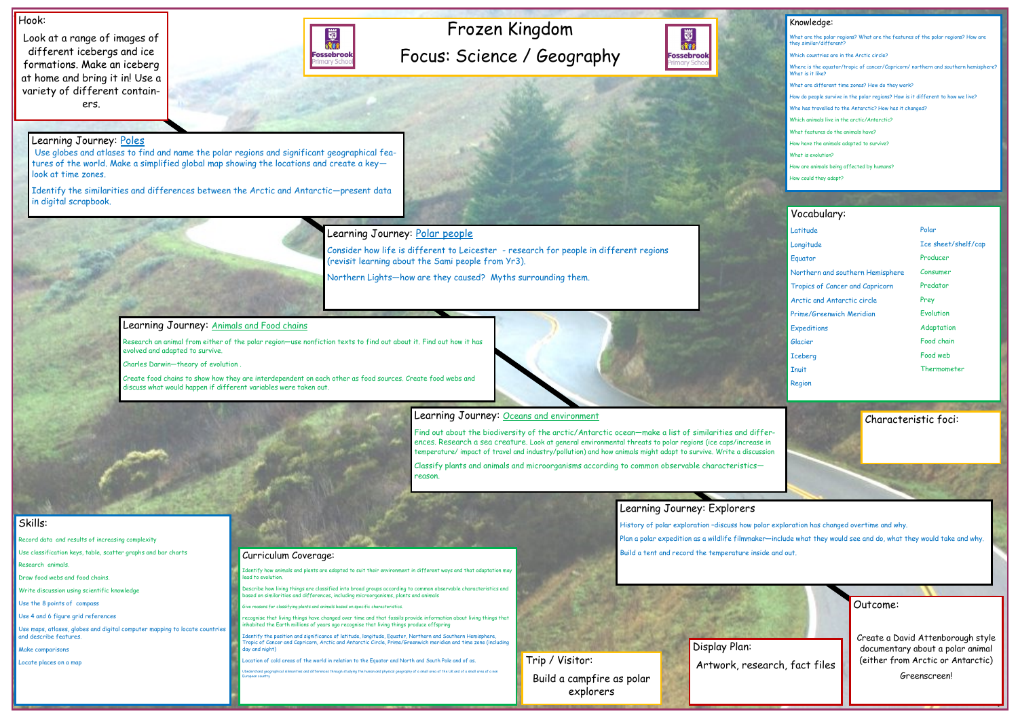# Frozen Kingdom Focus: Science / Geography



#### Hook:

Look at a range of images of different icebergs and ice formations. Make an iceberg at home and bring it in! Use a variety of different containers.



Outcome:

Create a David Attenborough style documentary about a polar animal (either from Arctic or Antarctic)

Greenscreen!

#### Knowledge:

What are the polar regions? What are the features of the polar regions? How are they similar/different? Which countries are in the Arctic circle? Where is the equator/tropic of cancer/Capricorn/ northern and southern hemisphe What is it like? What are different time zones? How do they work? How do people survive in the polar regions? How is it different to how we live? Who has travelled to the Antarctic? How has it changed? Which animals live in the arctic/Antarctic? What features do the animals have? How have the animals adapted to survive? What is evolution? How are animals being affected by humans? How could they adapt?

#### Skills:

- Record data and results of increasing complexity
- Use classification keys, table, scatter graphs and bar charts Research animals.
- Draw food webs and food chains.
- Write discussion using scientific knowledge
- Use the 8 points of compass
- Use 4 and 6 figure grid references

Use maps, atlases, globes and digital computer mapping to locate countries and describe features.

Make comparisons

Locate places on a map

### Learning Journey: Poles

History of polar exploration –discuss how polar exploration has changed overtime and why. Plan a polar expedition as a wildlife filmmaker—include what they would see and do, what they would take and why. **Curriculum Coverage:** Curriculum Coverage: Curriculum Coverage: Curriculum Coverage: Curriculum Coverage: Curriculum Coverage: Curriculum Coverage: Curriculum Coverage: Curriculum Coverage: Curriculum Coverage: Curriculum

Use globes and atlases to find and name the polar regions and significant geographical features of the world. Make a simplified global map showing the locations and create a key look at time zones.

> Identify how animals and plants are adapted to suit their environment in different ways and that adaptation may ead to evolution

> Describe how living things are classified into broad groups according to common observable characteristics and ased on similarities and differences, including microorganisms, plants and animals

fying plants and animals based on specific charact

Identify the similarities and differences between the Arctic and Antarctic—present data in digital scrapbook.

### Learning Journey: Polar people

recognise that living things have changed over time and that fossils provide information about living things that habited the Earth millions of years ago recognise that living things produce offspring

Consider how life is different to Leicester - research for people in different regions (revisit learning about the Sami people from Yr3).

Northern Lights—how are they caused? Myths surrounding them.

#### Learning Journey: Animals and Food chains

Research an animal from either of the polar region—use nonfiction texts to find out about it. Find out how it has evolved and adapted to survive.

Charles Darwin—theory of evolution .

Create food chains to show how they are interdependent on each other as food sources. Create food webs and discuss what would happen if different variables were taken out.



#### Learning Journey: Oceans and environment

Find out about the biodiversity of the arctic/Antarctic ocean—make a list of similarities and differences. Research a sea creature. Look at general environmental threats to polar regions (ice caps/increase in temperature/ impact of travel and industry/pollution) and how animals might adapt to survive. Write a discussion

Classify plants and animals and microorganisms according to common observable characteristics reason.

## Learning Journey: Explorers

Identify the position and significance of latitude, longitude, Equator, Northern and Southern Hemisphere, Tropic of Cancer and Capricorn, Arctic and Antarctic Circle, Prime/Greenwich meridian and time zone (including day and night)

ocation of cold areas of the world in relation to the Equator and North and South Pole and of as.

Ubnderstand geographical silimarities and differences through studying the human and physical geography of a small area of the UK and of a small area of a non European country

#### Vocabulary:

| Latitude                         |
|----------------------------------|
| Longitude                        |
| Equator                          |
| Northern and southern Hemisphere |
| Tropics of Cancer and Capricorn  |
| Arctic and Antarctic circle      |
| Prime/Greenwich Meridian         |
| Expeditions                      |
| Glacier                          |
| <b>Iceberg</b>                   |
| <b>Inuit</b>                     |
| Region                           |

Display Plan:



Characteristic foci:

#### Polar

- Ice sheet/shelf/cap
- Producer
- Consumer
- Predator
- Prey
- **Evolution**
- Adaptation
- Food chain
- Food web
- Thermometer